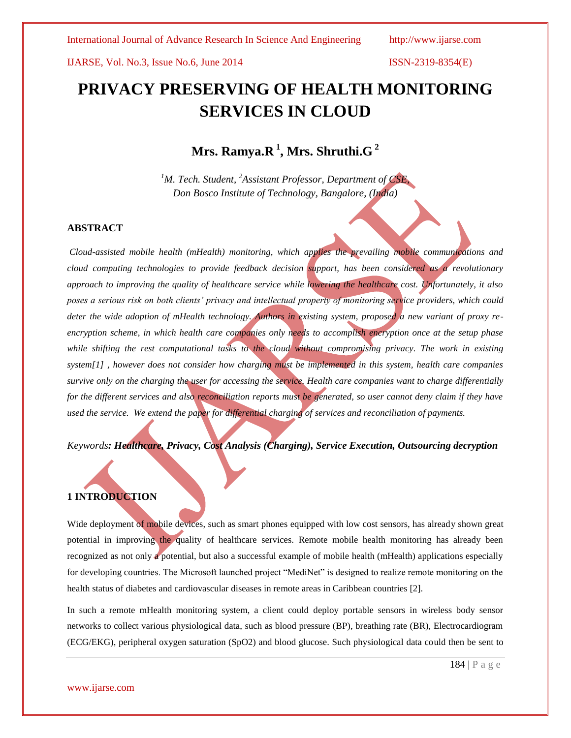# **PRIVACY PRESERVING OF HEALTH MONITORING SERVICES IN CLOUD**

**Mrs. Ramya.R <sup>1</sup> , Mrs. Shruthi.G <sup>2</sup>**

*<sup>1</sup>M. Tech. Student, <sup>2</sup>Assistant Professor, Department of CSE, Don Bosco Institute of Technology, Bangalore, (India)*

### **ABSTRACT**

*Cloud-assisted mobile health (mHealth) monitoring, which applies the prevailing mobile communications and cloud computing technologies to provide feedback decision support, has been considered as a revolutionary approach to improving the quality of healthcare service while lowering the healthcare cost. Unfortunately, it also poses a serious risk on both clients' privacy and intellectual property of monitoring service providers, which could deter the wide adoption of mHealth technology. Authors in existing system, proposed a new variant of proxy reencryption scheme, in which health care companies only needs to accomplish encryption once at the setup phase*  while shifting the rest computational tasks to the cloud without compromising privacy. The work in existing *system[1] , however does not consider how charging must be implemented in this system, health care companies survive only on the charging the user for accessing the service. Health care companies want to charge differentially for the different services and also reconciliation reports must be generated, so user cannot deny claim if they have used the service. We extend the paper for differential charging of services and reconciliation of payments.* 

*Keywords: Healthcare, Privacy, Cost Analysis (Charging), Service Execution, Outsourcing decryption*

# **1 INTRODUCTION**

Wide deployment of mobile devices, such as smart phones equipped with low cost sensors, has already shown great potential in improving the quality of healthcare services. Remote mobile health monitoring has already been recognized as not only a potential, but also a successful example of mobile health (mHealth) applications especially for developing countries. The Microsoft launched project "MediNet" is designed to realize remote monitoring on the health status of diabetes and cardiovascular diseases in remote areas in Caribbean countries [2].

In such a remote mHealth monitoring system, a client could deploy portable sensors in wireless body sensor networks to collect various physiological data, such as blood pressure (BP), breathing rate (BR), Electrocardiogram (ECG/EKG), peripheral oxygen saturation (SpO2) and blood glucose. Such physiological data could then be sent to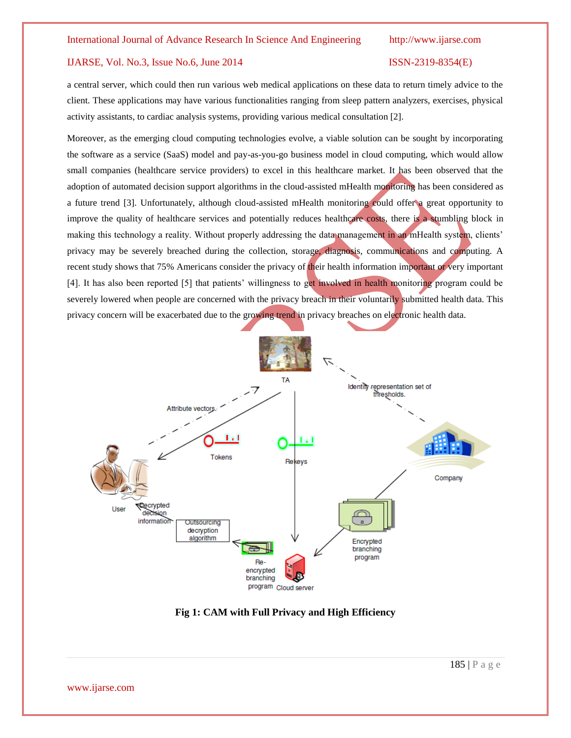a central server, which could then run various web medical applications on these data to return timely advice to the client. These applications may have various functionalities ranging from sleep pattern analyzers, exercises, physical activity assistants, to cardiac analysis systems, providing various medical consultation [2].

Moreover, as the emerging cloud computing technologies evolve, a viable solution can be sought by incorporating the software as a service (SaaS) model and pay-as-you-go business model in cloud computing, which would allow small companies (healthcare service providers) to excel in this healthcare market. It has been observed that the adoption of automated decision support algorithms in the cloud-assisted mHealth monitoring has been considered as a future trend [3]. Unfortunately, although cloud-assisted mHealth monitoring could offer a great opportunity to improve the quality of healthcare services and potentially reduces healthcare costs, there is a stumbling block in making this technology a reality. Without properly addressing the data management in an mHealth system, clients' privacy may be severely breached during the collection, storage, diagnosis, communications and computing. A recent study shows that 75% Americans consider the privacy of their health information important or very important [4]. It has also been reported [5] that patients' willingness to get involved in health monitoring program could be severely lowered when people are concerned with the privacy breach in their voluntarily submitted health data. This privacy concern will be exacerbated due to the growing trend in privacy breaches on electronic health data.



**Fig 1: CAM with Full Privacy and High Efficiency**

185 | P a g e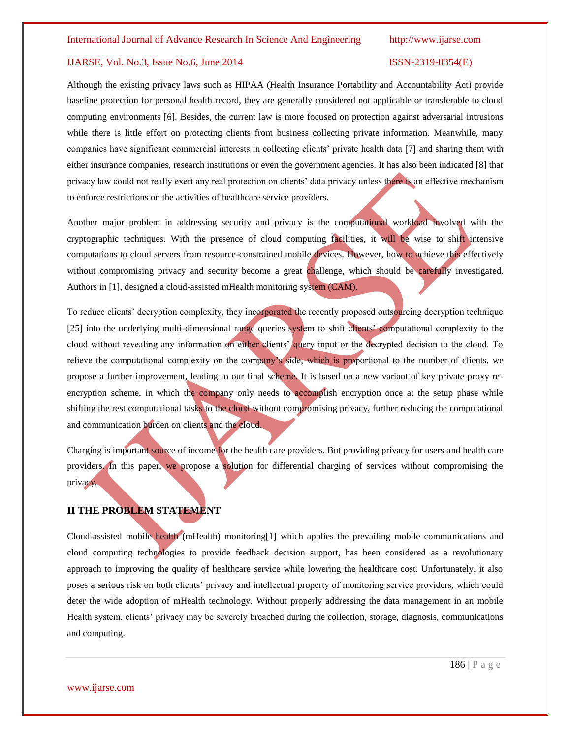Although the existing privacy laws such as HIPAA (Health Insurance Portability and Accountability Act) provide baseline protection for personal health record, they are generally considered not applicable or transferable to cloud computing environments [6]. Besides, the current law is more focused on protection against adversarial intrusions while there is little effort on protecting clients from business collecting private information. Meanwhile, many companies have significant commercial interests in collecting clients' private health data [7] and sharing them with either insurance companies, research institutions or even the government agencies. It has also been indicated [8] that privacy law could not really exert any real protection on clients' data privacy unless there is an effective mechanism to enforce restrictions on the activities of healthcare service providers.

Another major problem in addressing security and privacy is the computational workload involved with the cryptographic techniques. With the presence of cloud computing facilities, it will be wise to shift intensive computations to cloud servers from resource-constrained mobile devices. However, how to achieve this effectively without compromising privacy and security become a great challenge, which should be carefully investigated. Authors in [1], designed a cloud-assisted mHealth monitoring system (CAM).

To reduce clients' decryption complexity, they incorporated the recently proposed outsourcing decryption technique [25] into the underlying multi-dimensional range queries system to shift clients' computational complexity to the cloud without revealing any information on either clients' query input or the decrypted decision to the cloud. To relieve the computational complexity on the company's side, which is proportional to the number of clients, we propose a further improvement, leading to our final scheme. It is based on a new variant of key private proxy reencryption scheme, in which the company only needs to accomplish encryption once at the setup phase while shifting the rest computational tasks to the cloud without compromising privacy, further reducing the computational and communication burden on clients and the cloud.

Charging is important source of income for the health care providers. But providing privacy for users and health care providers. In this paper, we propose a solution for differential charging of services without compromising the privacy.

# **II THE PROBLEM STATEMENT**

Cloud-assisted mobile health (mHealth) monitoring[1] which applies the prevailing mobile communications and cloud computing technologies to provide feedback decision support, has been considered as a revolutionary approach to improving the quality of healthcare service while lowering the healthcare cost. Unfortunately, it also poses a serious risk on both clients' privacy and intellectual property of monitoring service providers, which could deter the wide adoption of mHealth technology. Without properly addressing the data management in an mobile Health system, clients' privacy may be severely breached during the collection, storage, diagnosis, communications and computing.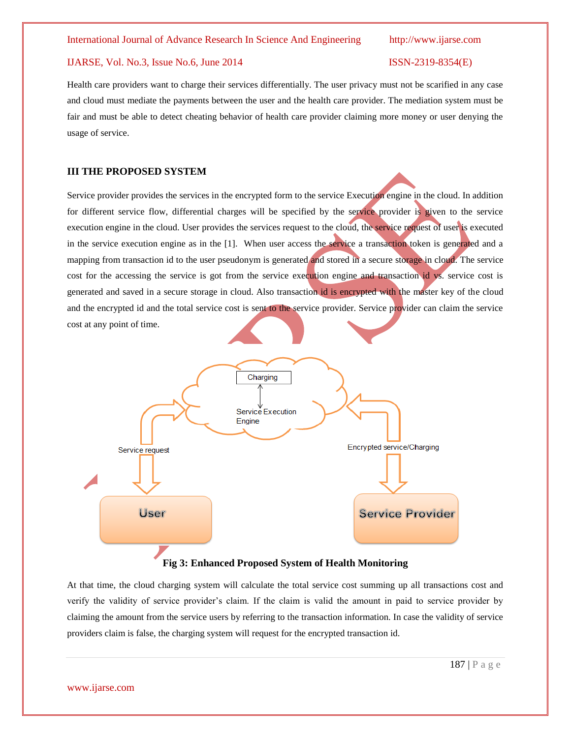Health care providers want to charge their services differentially. The user privacy must not be scarified in any case and cloud must mediate the payments between the user and the health care provider. The mediation system must be fair and must be able to detect cheating behavior of health care provider claiming more money or user denying the usage of service.

# **III THE PROPOSED SYSTEM**

Service provider provides the services in the encrypted form to the service Execution engine in the cloud. In addition for different service flow, differential charges will be specified by the service provider is given to the service execution engine in the cloud. User provides the services request to the cloud, the service request of user is executed in the service execution engine as in the [1]. When user access the service a transaction token is generated and a mapping from transaction id to the user pseudonym is generated and stored in a secure storage in cloud. The service cost for the accessing the service is got from the service execution engine and transaction id ys. service cost is generated and saved in a secure storage in cloud. Also transaction id is encrypted with the master key of the cloud and the encrypted id and the total service cost is sent to the service provider. Service provider can claim the service cost at any point of time.



# **Fig 3: Enhanced Proposed System of Health Monitoring**

At that time, the cloud charging system will calculate the total service cost summing up all transactions cost and verify the validity of service provider's claim. If the claim is valid the amount in paid to service provider by claiming the amount from the service users by referring to the transaction information. In case the validity of service providers claim is false, the charging system will request for the encrypted transaction id.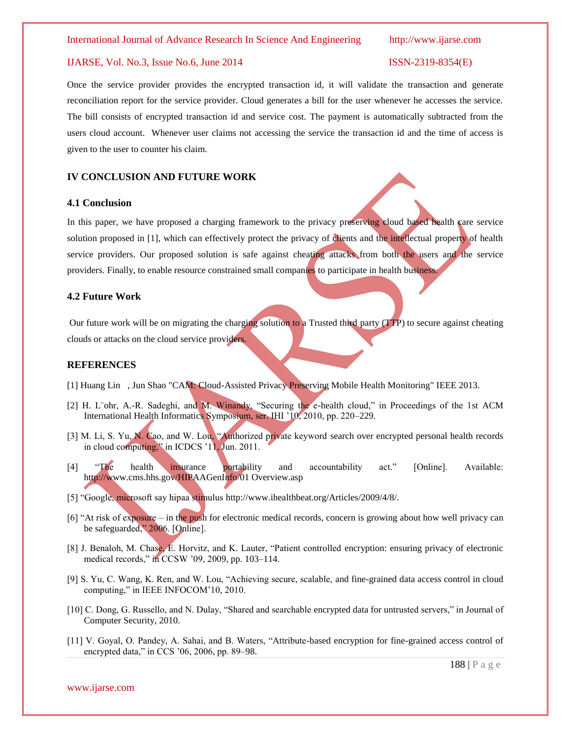### International Journal of Advance Research In Science And Engineering http://www.ijarse.com

### IJARSE, Vol. No.3, Issue No.6, June 2014 ISSN-2319-8354(E)

Once the service provider provides the encrypted transaction id, it will validate the transaction and generate reconciliation report for the service provider. Cloud generates a bill for the user whenever he accesses the service. The bill consists of encrypted transaction id and service cost. The payment is automatically subtracted from the users cloud account. Whenever user claims not accessing the service the transaction id and the time of access is given to the user to counter his claim.

### **IV CONCLUSION AND FUTURE WORK**

### **4.1 Conclusion**

In this paper, we have proposed a charging framework to the privacy preserving cloud based health care service solution proposed in [1], which can effectively protect the privacy of clients and the intellectual property of health service providers. Our proposed solution is safe against cheating attacks from both the users and the service providers. Finally, to enable resource constrained small companies to participate in health business.

### **4.2 Future Work**

Our future work will be on migrating the charging solution to a Trusted third party (TTP) to secure against cheating clouds or attacks on the cloud service providers.

### **REFERENCES**

- [1] Huang Lin, Jun Shao "CAM: Cloud-Assisted Privacy Preserving Mobile Health Monitoring" IEEE 2013.
- [2] H. L¨ohr, A.-R. Sadeghi, and M. Winandy, "Securing the e-health cloud," in Proceedings of the 1st ACM International Health Informatics Symposium, ser. IHI '10, 2010, pp. 220–229.
- [3] M. Li, S. Yu, N. Cao, and W. Lou, "Authorized private keyword search over encrypted personal health records in cloud computing," in ICDCS '11, Jun. 2011.
- [4] "The health insurance portability and accountability act." [Online]. Available: http://www.cms.hhs.gov/HIPAAGenInfo/01 Overview.asp
- [5] "Google, microsoft say hipaa stimulus http://www.ihealthbeat.org/Articles/2009/4/8/.
- [6] "At risk of exposure in the push for electronic medical records, concern is growing about how well privacy can be safeguarded," 2006. [Online].
- [8] J. Benaloh, M. Chase, E. Horvitz, and K. Lauter, "Patient controlled encryption: ensuring privacy of electronic medical records," in CCSW '09, 2009, pp. 103–114.
- [9] S. Yu, C. Wang, K. Ren, and W. Lou, "Achieving secure, scalable, and fine-grained data access control in cloud computing," in IEEE INFOCOM'10, 2010.
- [10] C. Dong, G. Russello, and N. Dulay, "Shared and searchable encrypted data for untrusted servers," in Journal of Computer Security, 2010.
- [11] V. Goyal, O. Pandey, A. Sahai, and B. Waters, "Attribute-based encryption for fine-grained access control of encrypted data," in CCS '06, 2006, pp. 89–98.